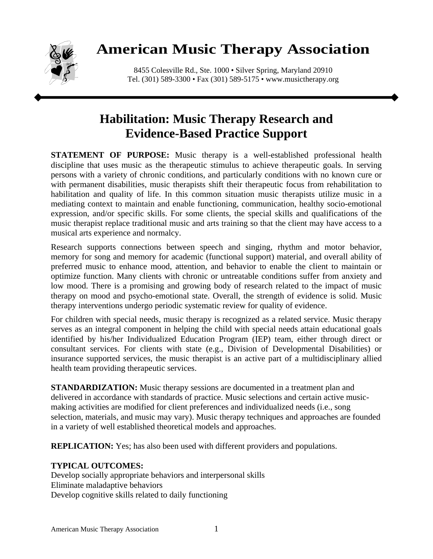

# **American Music Therapy Association**

8455 Colesville Rd., Ste. 1000 • Silver Spring, Maryland 20910 Tel. (301) 589-3300 • Fax (301) 589-5175 • www.musictherapy.org

## **Habilitation: Music Therapy Research and Evidence-Based Practice Support**

**STATEMENT OF PURPOSE:** Music therapy is a well-established professional health discipline that uses music as the therapeutic stimulus to achieve therapeutic goals. In serving persons with a variety of chronic conditions, and particularly conditions with no known cure or with permanent disabilities, music therapists shift their therapeutic focus from rehabilitation to habilitation and quality of life. In this common situation music therapists utilize music in a mediating context to maintain and enable functioning, communication, healthy socio-emotional expression, and/or specific skills. For some clients, the special skills and qualifications of the music therapist replace traditional music and arts training so that the client may have access to a musical arts experience and normalcy.

Research supports connections between speech and singing, rhythm and motor behavior, memory for song and memory for academic (functional support) material, and overall ability of preferred music to enhance mood, attention, and behavior to enable the client to maintain or optimize function. Many clients with chronic or untreatable conditions suffer from anxiety and low mood. There is a promising and growing body of research related to the impact of music therapy on mood and psycho-emotional state. Overall, the strength of evidence is solid. Music therapy interventions undergo periodic systematic review for quality of evidence.

For children with special needs, music therapy is recognized as a related service. Music therapy serves as an integral component in helping the child with special needs attain educational goals identified by his/her Individualized Education Program (IEP) team, either through direct or consultant services. For clients with state (e.g., Division of Developmental Disabilities) or insurance supported services, the music therapist is an active part of a multidisciplinary allied health team providing therapeutic services.

**STANDARDIZATION:** Music therapy sessions are documented in a treatment plan and delivered in accordance with standards of practice. Music selections and certain active musicmaking activities are modified for client preferences and individualized needs (i.e., song selection, materials, and music may vary). Music therapy techniques and approaches are founded in a variety of well established theoretical models and approaches.

**REPLICATION:** Yes; has also been used with different providers and populations.

### **TYPICAL OUTCOMES:**

Develop socially appropriate behaviors and interpersonal skills Eliminate maladaptive behaviors Develop cognitive skills related to daily functioning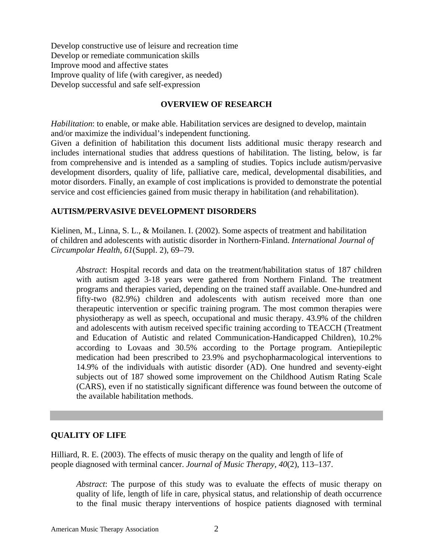Develop constructive use of leisure and recreation time Develop or remediate communication skills Improve mood and affective states Improve quality of life (with caregiver, as needed) Develop successful and safe self-expression

#### **OVERVIEW OF RESEARCH**

*Habilitation*: to enable, or make able. Habilitation services are designed to develop, maintain and/or maximize the individual's independent functioning.

Given a definition of habilitation this document lists additional music therapy research and includes international studies that address questions of habilitation. The listing, below, is far from comprehensive and is intended as a sampling of studies. Topics include autism/pervasive development disorders, quality of life, palliative care, medical, developmental disabilities, and motor disorders. Finally, an example of cost implications is provided to demonstrate the potential service and cost efficiencies gained from music therapy in habilitation (and rehabilitation).

#### **AUTISM/PERVASIVE DEVELOPMENT DISORDERS**

Kielinen, M., Linna, S. L., & Moilanen. I. (2002). Some aspects of treatment and habilitation of children and adolescents with autistic disorder in Northern-Finland. *International Journal of Circumpolar Health*, *61*(Suppl. 2), 69–79.

*Abstract*: Hospital records and data on the treatment/habilitation status of 187 children with autism aged 3-18 years were gathered from Northern Finland. The treatment programs and therapies varied, depending on the trained staff available. One-hundred and fifty-two (82.9%) children and adolescents with autism received more than one therapeutic intervention or specific training program. The most common therapies were physiotherapy as well as speech, occupational and music therapy. 43.9% of the children and adolescents with autism received specific training according to TEACCH (Treatment and Education of Autistic and related Communication-Handicapped Children), 10.2% according to Lovaas and 30.5% according to the Portage program. Antiepileptic medication had been prescribed to 23.9% and psychopharmacological interventions to 14.9% of the individuals with autistic disorder (AD). One hundred and seventy-eight subjects out of 187 showed some improvement on the Childhood Autism Rating Scale (CARS), even if no statistically significant difference was found between the outcome of the available habilitation methods.

#### **QUALITY OF LIFE**

Hilliard, R. E. (2003). The effects of music therapy on the quality and length of life of people diagnosed with terminal cancer. *Journal of Music Therapy, 40*(2), 113–137.

*Abstract*: The purpose of this study was to evaluate the effects of music therapy on quality of life, length of life in care, physical status, and relationship of death occurrence to the final music therapy interventions of hospice patients diagnosed with terminal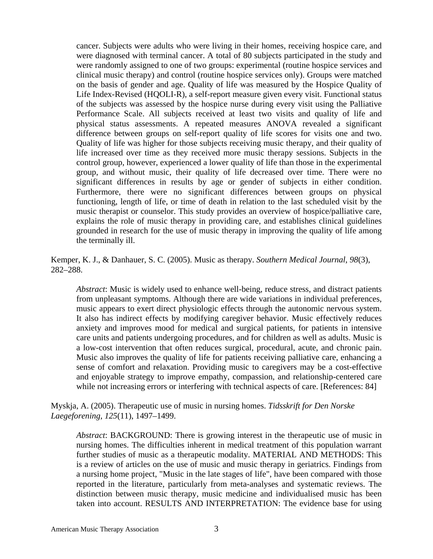cancer. Subjects were adults who were living in their homes, receiving hospice care, and were diagnosed with terminal cancer. A total of 80 subjects participated in the study and were randomly assigned to one of two groups: experimental (routine hospice services and clinical music therapy) and control (routine hospice services only). Groups were matched on the basis of gender and age. Quality of life was measured by the Hospice Quality of Life Index-Revised (HQOLI-R), a self-report measure given every visit. Functional status of the subjects was assessed by the hospice nurse during every visit using the Palliative Performance Scale. All subjects received at least two visits and quality of life and physical status assessments. A repeated measures ANOVA revealed a significant difference between groups on self-report quality of life scores for visits one and two. Quality of life was higher for those subjects receiving music therapy, and their quality of life increased over time as they received more music therapy sessions. Subjects in the control group, however, experienced a lower quality of life than those in the experimental group, and without music, their quality of life decreased over time. There were no significant differences in results by age or gender of subjects in either condition. Furthermore, there were no significant differences between groups on physical functioning, length of life, or time of death in relation to the last scheduled visit by the music therapist or counselor. This study provides an overview of hospice/palliative care, explains the role of music therapy in providing care, and establishes clinical guidelines grounded in research for the use of music therapy in improving the quality of life among the terminally ill.

Kemper, K. J., & Danhauer, S. C. (2005). Music as therapy. *Southern Medical Journal*, *98*(3), 282–288.

*Abstract*: Music is widely used to enhance well-being, reduce stress, and distract patients from unpleasant symptoms. Although there are wide variations in individual preferences, music appears to exert direct physiologic effects through the autonomic nervous system. It also has indirect effects by modifying caregiver behavior. Music effectively reduces anxiety and improves mood for medical and surgical patients, for patients in intensive care units and patients undergoing procedures, and for children as well as adults. Music is a low-cost intervention that often reduces surgical, procedural, acute, and chronic pain. Music also improves the quality of life for patients receiving palliative care, enhancing a sense of comfort and relaxation. Providing music to caregivers may be a cost-effective and enjoyable strategy to improve empathy, compassion, and relationship-centered care while not increasing errors or interfering with technical aspects of care. [References: 84]

Myskja, A. (2005). Therapeutic use of music in nursing homes. *Tidsskrift for Den Norske Laegeforening, 125*(11), 1497–1499.

*Abstract*: BACKGROUND: There is growing interest in the therapeutic use of music in nursing homes. The difficulties inherent in medical treatment of this population warrant further studies of music as a therapeutic modality. MATERIAL AND METHODS: This is a review of articles on the use of music and music therapy in geriatrics. Findings from a nursing home project, "Music in the late stages of life", have been compared with those reported in the literature, particularly from meta-analyses and systematic reviews. The distinction between music therapy, music medicine and individualised music has been taken into account. RESULTS AND INTERPRETATION: The evidence base for using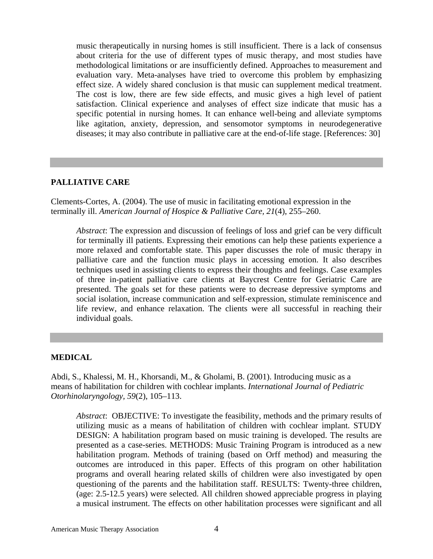music therapeutically in nursing homes is still insufficient. There is a lack of consensus about criteria for the use of different types of music therapy, and most studies have methodological limitations or are insufficiently defined. Approaches to measurement and evaluation vary. Meta-analyses have tried to overcome this problem by emphasizing effect size. A widely shared conclusion is that music can supplement medical treatment. The cost is low, there are few side effects, and music gives a high level of patient satisfaction. Clinical experience and analyses of effect size indicate that music has a specific potential in nursing homes. It can enhance well-being and alleviate symptoms like agitation, anxiety, depression, and sensomotor symptoms in neurodegenerative diseases; it may also contribute in palliative care at the end-of-life stage. [References: 30]

#### **PALLIATIVE CARE**

Clements-Cortes, A. (2004). The use of music in facilitating emotional expression in the terminally ill. *American Journal of Hospice & Palliative Care, 21*(4), 255–260.

*Abstract*: The expression and discussion of feelings of loss and grief can be very difficult for terminally ill patients. Expressing their emotions can help these patients experience a more relaxed and comfortable state. This paper discusses the role of music therapy in palliative care and the function music plays in accessing emotion. It also describes techniques used in assisting clients to express their thoughts and feelings. Case examples of three in-patient palliative care clients at Baycrest Centre for Geriatric Care are presented. The goals set for these patients were to decrease depressive symptoms and social isolation, increase communication and self-expression, stimulate reminiscence and life review, and enhance relaxation. The clients were all successful in reaching their individual goals.

#### **MEDICAL**

Abdi, S., Khalessi, M. H., Khorsandi, M., & Gholami, B. (2001). Introducing music as a means of habilitation for children with cochlear implants. *International Journal of Pediatric Otorhinolaryngology, 59*(2), 105–113.

*Abstract*: OBJECTIVE: To investigate the feasibility, methods and the primary results of utilizing music as a means of habilitation of children with cochlear implant. STUDY DESIGN: A habilitation program based on music training is developed. The results are presented as a case-series. METHODS: Music Training Program is introduced as a new habilitation program. Methods of training (based on Orff method) and measuring the outcomes are introduced in this paper. Effects of this program on other habilitation programs and overall hearing related skills of children were also investigated by open questioning of the parents and the habilitation staff. RESULTS: Twenty-three children, (age: 2.5-12.5 years) were selected. All children showed appreciable progress in playing a musical instrument. The effects on other habilitation processes were significant and all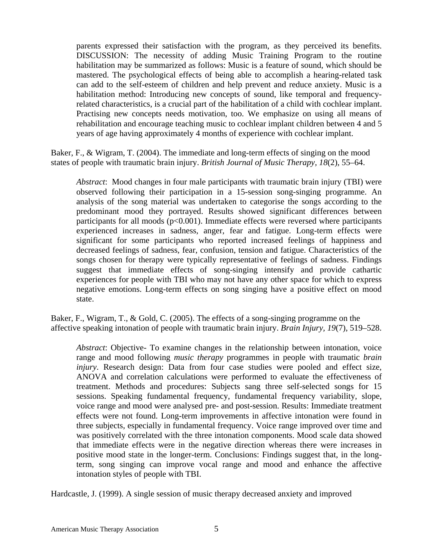parents expressed their satisfaction with the program, as they perceived its benefits. DISCUSSION: The necessity of adding Music Training Program to the routine habilitation may be summarized as follows: Music is a feature of sound, which should be mastered. The psychological effects of being able to accomplish a hearing-related task can add to the self-esteem of children and help prevent and reduce anxiety. Music is a habilitation method: Introducing new concepts of sound, like temporal and frequencyrelated characteristics, is a crucial part of the habilitation of a child with cochlear implant. Practising new concepts needs motivation, too. We emphasize on using all means of rehabilitation and encourage teaching music to cochlear implant children between 4 and 5 years of age having approximately 4 months of experience with cochlear implant.

Baker, F., & Wigram, T. (2004). The immediate and long-term effects of singing on the mood states of people with traumatic brain injury. *British Journal of Music Therapy, 18*(2), 55–64.

*Abstract*:Mood changes in four male participants with traumatic brain injury (TBI) were observed following their participation in a 15-session song-singing programme. An analysis of the song material was undertaken to categorise the songs according to the predominant mood they portrayed. Results showed significant differences between participants for all moods  $(p<0.001)$ . Immediate effects were reversed where participants experienced increases in sadness, anger, fear and fatigue. Long-term effects were significant for some participants who reported increased feelings of happiness and decreased feelings of sadness, fear, confusion, tension and fatigue. Characteristics of the songs chosen for therapy were typically representative of feelings of sadness. Findings suggest that immediate effects of song-singing intensify and provide cathartic experiences for people with TBI who may not have any other space for which to express negative emotions. Long-term effects on song singing have a positive effect on mood state.

Baker, F., Wigram, T., & Gold, C. (2005). The effects of a song-singing programme on the affective speaking intonation of people with traumatic brain injury. *Brain Injury, 19*(7), 519–528.

*Abstract*: Objective- To examine changes in the relationship between intonation, voice range and mood following *music therapy* programmes in people with traumatic *brain injury*. Research design: Data from four case studies were pooled and effect size, ANOVA and correlation calculations were performed to evaluate the effectiveness of treatment. Methods and procedures: Subjects sang three self-selected songs for 15 sessions. Speaking fundamental frequency, fundamental frequency variability, slope, voice range and mood were analysed pre- and post-session. Results: Immediate treatment effects were not found. Long-term improvements in affective intonation were found in three subjects, especially in fundamental frequency. Voice range improved over time and was positively correlated with the three intonation components. Mood scale data showed that immediate effects were in the negative direction whereas there were increases in positive mood state in the longer-term. Conclusions: Findings suggest that, in the longterm, song singing can improve vocal range and mood and enhance the affective intonation styles of people with TBI.

Hardcastle, J. (1999). A single session of music therapy decreased anxiety and improved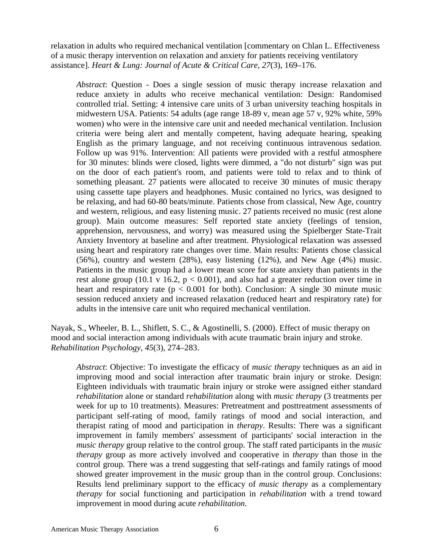relaxation in adults who required mechanical ventilation [commentary on Chlan L. Effectiveness of a music therapy intervention on relaxation and anxiety for patients receiving ventilatory assistance]. *Heart & Lung: Journal of Acute & Critical Care, 27*(3), 169–176.

*Abstract*: Question - Does a single session of music therapy increase relaxation and reduce anxiety in adults who receive mechanical ventilation: Design: Randomised controlled trial. Setting: 4 intensive care units of 3 urban university teaching hospitals in midwestern USA. Patients: 54 adults (age range 18-89 v, mean age 57 v, 92% white, 59% women) who were in the intensive care unit and needed mechanical ventilation. Inclusion criteria were being alert and mentally competent, having adequate hearing, speaking English as the primary language, and not receiving continuous intravenous sedation. Follow up was 91%. Intervention: All patients were provided with a restful atmosphere for 30 minutes: blinds were closed, lights were dimmed, a "do not disturb" sign was put on the door of each patient's room, and patients were told to relax and to think of something pleasant. 27 patients were allocated to receive 30 minutes of music therapy using cassette tape players and headphones. Music contained no lyrics, was designed to be relaxing, and had 60-80 beats/minute. Patients chose from classical, New Age, country and western, religious, and easy listening music. 27 patients received no music (rest alone group). Main outcome measures: Self reported state anxiety (feelings of tension, apprehension, nervousness, and worry) was measured using the Spielberger State-Trait Anxiety Inventory at baseline and after treatment. Physiological relaxation was assessed using heart and respiratory rate changes over time. Main results: Patients chose classical (56%), country and western (28%), easy listening (12%), and New Age (4%) music. Patients in the music group had a lower mean score for state anxiety than patients in the rest alone group (10.1 v 16.2,  $p < 0.001$ ), and also had a greater reduction over time in heart and respiratory rate ( $p < 0.001$  for both). Conclusion: A single 30 minute music session reduced anxiety and increased relaxation (reduced heart and respiratory rate) for adults in the intensive care unit who required mechanical ventilation.

Nayak, S., Wheeler, B. L., Shiflett, S. C., & Agostinelli, S. (2000). Effect of music therapy on mood and social interaction among individuals with acute traumatic brain injury and stroke. *Rehabilitation Psychology, 45*(3), 274–283.

*Abstract*: Objective: To investigate the efficacy of *music therapy* techniques as an aid in improving mood and social interaction after traumatic brain injury or stroke. Design: Eighteen individuals with traumatic brain injury or stroke were assigned either standard *rehabilitation* alone or standard *rehabilitation* along with *music therapy* (3 treatments per week for up to 10 treatments). Measures: Pretreatment and posttreatment assessments of participant self-rating of mood, family ratings of mood and social interaction, and therapist rating of mood and participation in *therapy*. Results: There was a significant improvement in family members' assessment of participants' social interaction in the *music therapy* group relative to the control group. The staff rated participants in the *music therapy* group as more actively involved and cooperative in *therapy* than those in the control group. There was a trend suggesting that self-ratings and family ratings of mood showed greater improvement in the *music* group than in the control group. Conclusions: Results lend preliminary support to the efficacy of *music therapy* as a complementary *therapy* for social functioning and participation in *rehabilitation* with a trend toward improvement in mood during acute *rehabilitation*.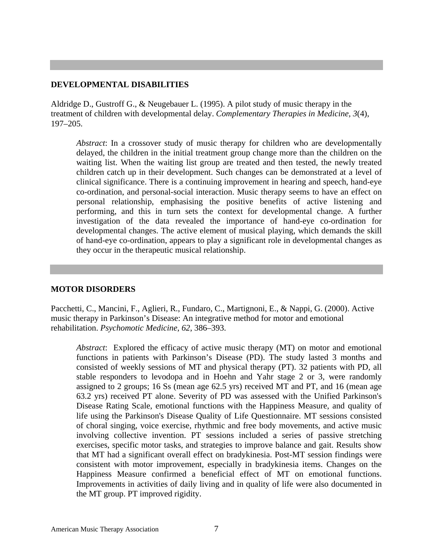#### **DEVELOPMENTAL DISABILITIES**

Aldridge D., Gustroff G., & Neugebauer L. (1995). A pilot study of music therapy in the treatment of children with developmental delay. *Complementary Therapies in Medicine, 3*(4), 197–205.

*Abstract*: In a crossover study of music therapy for children who are developmentally delayed, the children in the initial treatment group change more than the children on the waiting list. When the waiting list group are treated and then tested, the newly treated children catch up in their development. Such changes can be demonstrated at a level of clinical significance. There is a continuing improvement in hearing and speech, hand-eye co-ordination, and personal-social interaction. Music therapy seems to have an effect on personal relationship, emphasising the positive benefits of active listening and performing, and this in turn sets the context for developmental change. A further investigation of the data revealed the importance of hand-eye co-ordination for developmental changes. The active element of musical playing, which demands the skill of hand-eye co-ordination, appears to play a significant role in developmental changes as they occur in the therapeutic musical relationship.

#### **MOTOR DISORDERS**

Pacchetti, C., Mancini, F., Aglieri, R., Fundaro, C., Martignoni, E., & Nappi, G. (2000). Active music therapy in Parkinson's Disease: An integrative method for motor and emotional rehabilitation. *Psychomotic Medicine, 62*, 386–393.

*Abstract*:Explored the efficacy of active music therapy (MT) on motor and emotional functions in patients with Parkinson's Disease (PD). The study lasted 3 months and consisted of weekly sessions of MT and physical therapy (PT). 32 patients with PD, all stable responders to levodopa and in Hoehn and Yahr stage 2 or 3, were randomly assigned to 2 groups; 16 Ss (mean age 62.5 yrs) received MT and PT, and 16 (mean age 63.2 yrs) received PT alone. Severity of PD was assessed with the Unified Parkinson's Disease Rating Scale, emotional functions with the Happiness Measure, and quality of life using the Parkinson's Disease Quality of Life Questionnaire. MT sessions consisted of choral singing, voice exercise, rhythmic and free body movements, and active music involving collective invention. PT sessions included a series of passive stretching exercises, specific motor tasks, and strategies to improve balance and gait. Results show that MT had a significant overall effect on bradykinesia. Post-MT session findings were consistent with motor improvement, especially in bradykinesia items. Changes on the Happiness Measure confirmed a beneficial effect of MT on emotional functions. Improvements in activities of daily living and in quality of life were also documented in the MT group. PT improved rigidity.